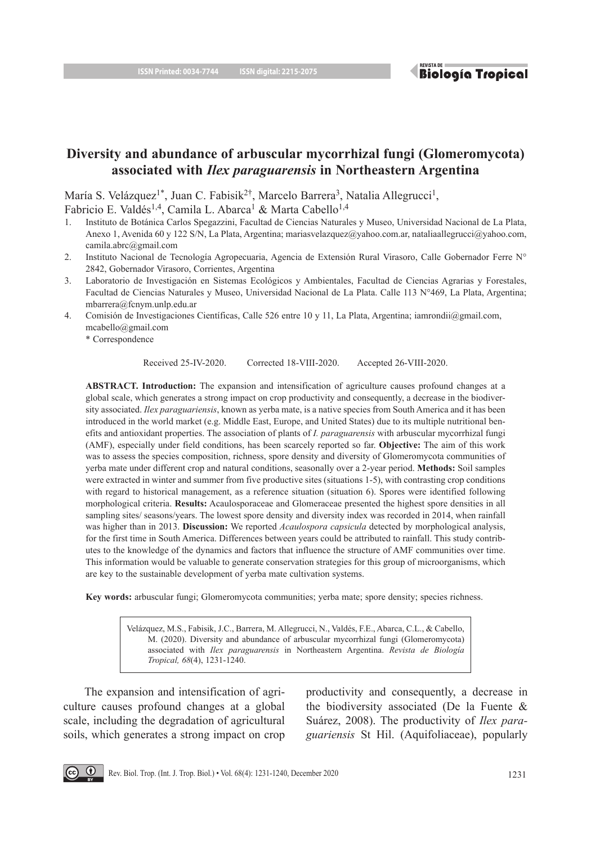**Biología Tropical** 

# **Diversity and abundance of arbuscular mycorrhizal fungi (Glomeromycota) associated with** *Ilex paraguarensis* **in Northeastern Argentina**

María S. Velázquez<sup>1\*</sup>, Juan C. Fabisik<sup>2†</sup>, Marcelo Barrera<sup>3</sup>, Natalia Allegrucci<sup>1</sup>,

Fabricio E. Valdés<sup>1,4</sup>, Camila L. Abarca<sup>1</sup> & Marta Cabello<sup>1,4</sup>

- 1. Instituto de Botánica Carlos Spegazzini, Facultad de Ciencias Naturales y Museo, Universidad Nacional de La Plata, Anexo 1, Avenida 60 y 122 S/N, La Plata, Argentina; mariasvelazquez@yahoo.com.ar, nataliaallegrucci@yahoo.com, camila.abrc@gmail.com
- 2. Instituto Nacional de Tecnología Agropecuaria, Agencia de Extensión Rural Virasoro, Calle Gobernador Ferre N° 2842, Gobernador Virasoro, Corrientes, Argentina
- 3. Laboratorio de Investigación en Sistemas Ecológicos y Ambientales, Facultad de Ciencias Agrarias y Forestales, Facultad de Ciencias Naturales y Museo, Universidad Nacional de La Plata. Calle 113 N°469, La Plata, Argentina; mbarrera@fcnym.unlp.edu.ar
- 4. Comisión de Investigaciones Científicas, Calle 526 entre 10 y 11, La Plata, Argentina; iamrondii@gmail.com, mcabello@gmail.com

Received 25-IV-2020. Corrected 18-VIII-2020. Accepted 26-VIII-2020.

**ABSTRACT. Introduction:** The expansion and intensification of agriculture causes profound changes at a global scale, which generates a strong impact on crop productivity and consequently, a decrease in the biodiversity associated. *Ilex paraguariensis*, known as yerba mate, is a native species from South America and it has been introduced in the world market (e.g. Middle East, Europe, and United States) due to its multiple nutritional benefits and antioxidant properties. The association of plants of *I. paraguarensis* with arbuscular mycorrhizal fungi (AMF), especially under field conditions, has been scarcely reported so far. **Objective:** The aim of this work was to assess the species composition, richness, spore density and diversity of Glomeromycota communities of yerba mate under different crop and natural conditions, seasonally over a 2-year period. **Methods:** Soil samples were extracted in winter and summer from five productive sites (situations 1-5), with contrasting crop conditions with regard to historical management, as a reference situation (situation 6). Spores were identified following morphological criteria. **Results:** Acaulosporaceae and Glomeraceae presented the highest spore densities in all sampling sites/ seasons/years. The lowest spore density and diversity index was recorded in 2014, when rainfall was higher than in 2013. **Discussion:** We reported *Acaulospora capsicula* detected by morphological analysis, for the first time in South America. Differences between years could be attributed to rainfall. This study contributes to the knowledge of the dynamics and factors that influence the structure of AMF communities over time. This information would be valuable to generate conservation strategies for this group of microorganisms, which are key to the sustainable development of yerba mate cultivation systems.

**Key words:** arbuscular fungi; Glomeromycota communities; yerba mate; spore density; species richness.

Velázquez, M.S., Fabisik, J.C., Barrera, M. Allegrucci, N., Valdés, F.E., Abarca, C.L., & Cabello, M. (2020). Diversity and abundance of arbuscular mycorrhizal fungi (Glomeromycota) associated with *Ilex paraguarensis* in Northeastern Argentina. *Revista de Biología Tropical, 68*(4), 1231-1240.

The expansion and intensification of agriculture causes profound changes at a global scale, including the degradation of agricultural soils, which generates a strong impact on crop productivity and consequently, a decrease in the biodiversity associated (De la Fuente & Suárez, 2008). The productivity of *Ilex paraguariensis* St Hil. (Aquifoliaceae), popularly



<sup>\*</sup> Correspondence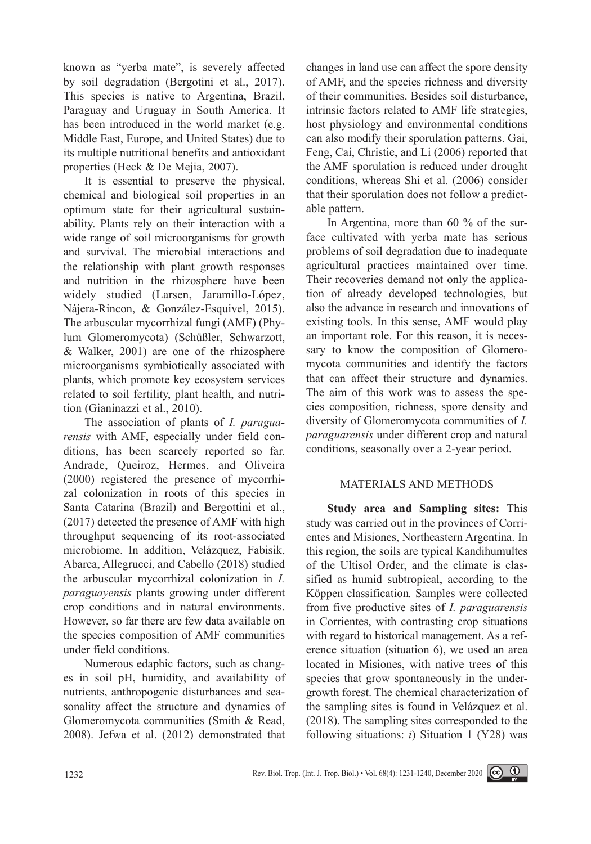known as "yerba mate", is severely affected by soil degradation (Bergotini et al., 2017). This species is native to Argentina, Brazil, Paraguay and Uruguay in South America. It has been introduced in the world market (e.g. Middle East, Europe, and United States) due to its multiple nutritional benefits and antioxidant properties (Heck & De Mejia, 2007).

It is essential to preserve the physical, chemical and biological soil properties in an optimum state for their agricultural sustainability. Plants rely on their interaction with a wide range of soil microorganisms for growth and survival. The microbial interactions and the relationship with plant growth responses and nutrition in the rhizosphere have been widely studied (Larsen, Jaramillo-López, Nájera-Rincon, & González-Esquivel, 2015). The arbuscular mycorrhizal fungi (AMF) (Phylum Glomeromycota) (Schüßler, Schwarzott, & Walker, 2001) are one of the rhizosphere microorganisms symbiotically associated with plants, which promote key ecosystem services related to soil fertility, plant health, and nutrition (Gianinazzi et al., 2010).

The association of plants of *I. paraguarensis* with AMF, especially under field conditions, has been scarcely reported so far. Andrade, Queiroz, Hermes, and Oliveira (2000) registered the presence of mycorrhizal colonization in roots of this species in Santa Catarina (Brazil) and Bergottini et al., (2017) detected the presence of AMF with high throughput sequencing of its root-associated microbiome. In addition, Velázquez, Fabisik, Abarca, Allegrucci, and Cabello (2018) studied the arbuscular mycorrhizal colonization in *I. paraguayensis* plants growing under different crop conditions and in natural environments. However, so far there are few data available on the species composition of AMF communities under field conditions.

Numerous edaphic factors, such as changes in soil pH, humidity, and availability of nutrients, anthropogenic disturbances and seasonality affect the structure and dynamics of Glomeromycota communities (Smith & Read, 2008). Jefwa et al. (2012) demonstrated that

changes in land use can affect the spore density of AMF, and the species richness and diversity of their communities. Besides soil disturbance, intrinsic factors related to AMF life strategies, host physiology and environmental conditions can also modify their sporulation patterns. Gai, Feng, Cai, Christie, and Li (2006) reported that the AMF sporulation is reduced under drought conditions, whereas Shi et al*.* (2006) consider that their sporulation does not follow a predictable pattern.

In Argentina, more than 60 % of the surface cultivated with yerba mate has serious problems of soil degradation due to inadequate agricultural practices maintained over time. Their recoveries demand not only the application of already developed technologies, but also the advance in research and innovations of existing tools. In this sense, AMF would play an important role. For this reason, it is necessary to know the composition of Glomeromycota communities and identify the factors that can affect their structure and dynamics. The aim of this work was to assess the species composition, richness, spore density and diversity of Glomeromycota communities of *I. paraguarensis* under different crop and natural conditions, seasonally over a 2-year period.

# MATERIALS AND METHODS

**Study area and Sampling sites:** This study was carried out in the provinces of Corrientes and Misiones, Northeastern Argentina. In this region, the soils are typical Kandihumultes of the Ultisol Order, and the climate is classified as humid subtropical, according to the Köppen classification*.* Samples were collected from five productive sites of *I. paraguarensis*  in Corrientes, with contrasting crop situations with regard to historical management. As a reference situation (situation 6), we used an area located in Misiones, with native trees of this species that grow spontaneously in the undergrowth forest. The chemical characterization of the sampling sites is found in Velázquez et al. (2018). The sampling sites corresponded to the following situations: *i*) Situation 1 (Y28) was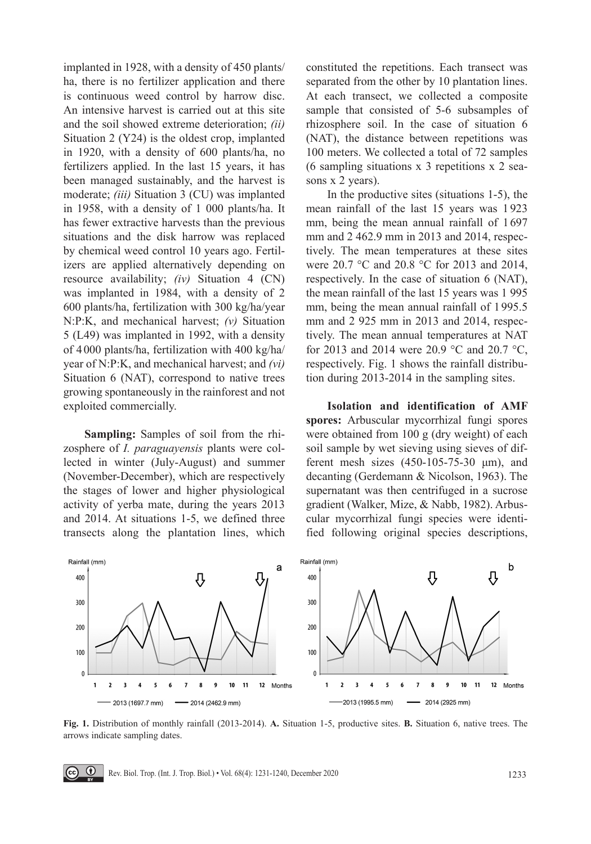implanted in 1928, with a density of 450 plants/ ha, there is no fertilizer application and there is continuous weed control by harrow disc. An intensive harvest is carried out at this site and the soil showed extreme deterioration; *(ii)* Situation 2 (Y24) is the oldest crop, implanted in 1920, with a density of 600 plants/ha, no fertilizers applied. In the last 15 years, it has been managed sustainably, and the harvest is moderate; *(iii)* Situation 3 (CU) was implanted in 1958, with a density of 1 000 plants/ha. It has fewer extractive harvests than the previous situations and the disk harrow was replaced by chemical weed control 10 years ago. Fertilizers are applied alternatively depending on resource availability; *(iv)* Situation 4 (CN) was implanted in 1984, with a density of 2 600 plants/ha, fertilization with 300 kg/ha/year N:P:K, and mechanical harvest; *(v)* Situation 5 (L49) was implanted in 1992, with a density of 4000 plants/ha, fertilization with 400 kg/ha/ year of N:P:K, and mechanical harvest; and *(vi)* Situation 6 (NAT), correspond to native trees growing spontaneously in the rainforest and not exploited commercially.

**Sampling:** Samples of soil from the rhizosphere of *I. paraguayensis* plants were collected in winter (July-August) and summer (November-December), which are respectively the stages of lower and higher physiological activity of yerba mate, during the years 2013 and 2014. At situations 1-5, we defined three transects along the plantation lines, which constituted the repetitions. Each transect was separated from the other by 10 plantation lines. At each transect, we collected a composite sample that consisted of 5-6 subsamples of rhizosphere soil. In the case of situation 6 (NAT), the distance between repetitions was 100 meters. We collected a total of 72 samples (6 sampling situations x 3 repetitions x 2 seasons x 2 years).

In the productive sites (situations 1-5), the mean rainfall of the last 15 years was 1923 mm, being the mean annual rainfall of 1697 mm and 2 462.9 mm in 2013 and 2014, respectively. The mean temperatures at these sites were 20.7 °C and 20.8 °C for 2013 and 2014, respectively. In the case of situation 6 (NAT), the mean rainfall of the last 15 years was 1 995 mm, being the mean annual rainfall of 1995.5 mm and 2 925 mm in 2013 and 2014, respectively. The mean annual temperatures at NAT for 2013 and 2014 were 20.9 °C and 20.7 °C, respectively. Fig. 1 shows the rainfall distribution during 2013-2014 in the sampling sites.

**Isolation and identification of AMF spores:** Arbuscular mycorrhizal fungi spores were obtained from 100 g (dry weight) of each soil sample by wet sieving using sieves of different mesh sizes (450-105-75-30 μm), and decanting (Gerdemann & Nicolson, 1963). The supernatant was then centrifuged in a sucrose gradient (Walker, Mize, & Nabb, 1982). Arbuscular mycorrhizal fungi species were identified following original species descriptions,



**Fig. 1.** Distribution of monthly rainfall (2013-2014). **A.** Situation 1-5, productive sites. **B.** Situation 6, native trees. The arrows indicate sampling dates.

 $\odot$ Rev. Biol. Trop. (Int. J. Trop. Biol.) • Vol. 68(4): 1231-1240, December 2020 1233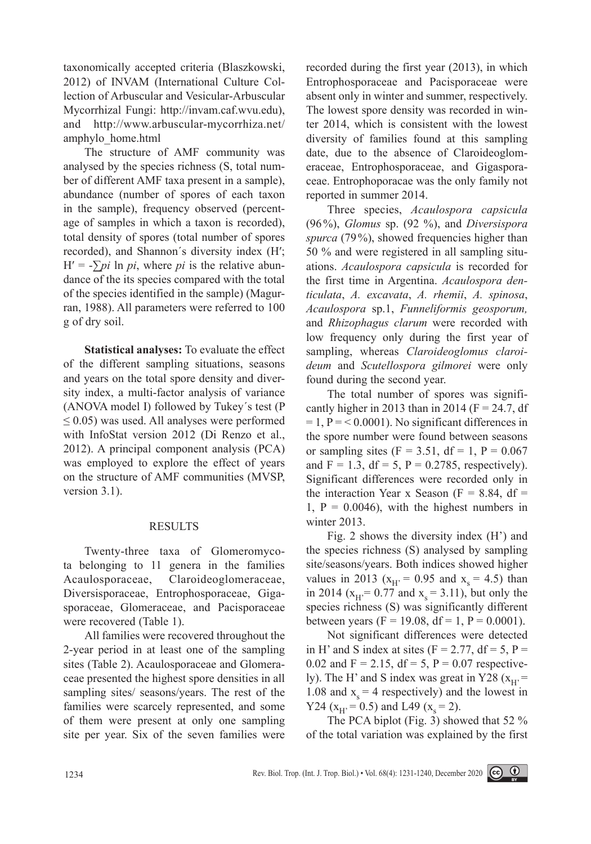taxonomically accepted criteria (Blaszkowski, 2012) of INVAM (International Culture Collection of Arbuscular and Vesicular-Arbuscular Mycorrhizal Fungi: http://invam.caf.wvu.edu), and http://www.arbuscular-mycorrhiza.net/ amphylo\_home.html

The structure of AMF community was analysed by the species richness (S, total number of different AMF taxa present in a sample), abundance (number of spores of each taxon in the sample), frequency observed (percentage of samples in which a taxon is recorded), total density of spores (total number of spores recorded), and Shannon´s diversity index (H′;  $H' = -\sum \pi i \ln \pi i$ , where  $\pi i$  is the relative abundance of the its species compared with the total of the species identified in the sample) (Magurran, 1988). All parameters were referred to 100 g of dry soil.

**Statistical analyses:** To evaluate the effect of the different sampling situations, seasons and years on the total spore density and diversity index, a multi-factor analysis of variance (ANOVA model I) followed by Tukey´s test (P  $\leq$  0.05) was used. All analyses were performed with InfoStat version 2012 (Di Renzo et al., 2012). A principal component analysis (PCA) was employed to explore the effect of years on the structure of AMF communities (MVSP, version 3.1).

# RESULTS

Twenty-three taxa of Glomeromycota belonging to 11 genera in the families Acaulosporaceae, Claroideoglomeraceae, Diversisporaceae, Entrophosporaceae, Gigasporaceae, Glomeraceae, and Pacisporaceae were recovered (Table 1).

All families were recovered throughout the 2-year period in at least one of the sampling sites (Table 2). Acaulosporaceae and Glomeraceae presented the highest spore densities in all sampling sites/ seasons/years. The rest of the families were scarcely represented, and some of them were present at only one sampling site per year. Six of the seven families were

recorded during the first year (2013), in which Entrophosporaceae and Pacisporaceae were absent only in winter and summer, respectively. The lowest spore density was recorded in winter 2014, which is consistent with the lowest diversity of families found at this sampling date, due to the absence of Claroideoglomeraceae, Entrophosporaceae, and Gigasporaceae. Entrophoporacae was the only family not reported in summer 2014.

Three species, *Acaulospora capsicula* (96%), *Glomus* sp. (92 %), and *Diversispora spurca* (79%), showed frequencies higher than 50 % and were registered in all sampling situations. *Acaulospora capsicula* is recorded for the first time in Argentina. *Acaulospora denticulata*, *A. excavata*, *A. rhemii*, *A. spinosa*, *Acaulospora* sp.1, *Funneliformis geosporum,* and *Rhizophagus clarum* were recorded with low frequency only during the first year of sampling, whereas *Claroideoglomus claroideum* and *Scutellospora gilmorei* were only found during the second year.

The total number of spores was significantly higher in 2013 than in 2014 ( $F = 24.7$ , df  $= 1$ ,  $P = < 0.0001$ ). No significant differences in the spore number were found between seasons or sampling sites (F = 3.51, df = 1, P =  $0.067$ ) and  $F = 1.3$ , df = 5, P = 0.2785, respectively). Significant differences were recorded only in the interaction Year x Season ( $F = 8.84$ , df =  $1, P = 0.0046$ , with the highest numbers in winter 2013.

Fig. 2 shows the diversity index (H') and the species richness (S) analysed by sampling site/seasons/years. Both indices showed higher values in 2013 ( $x_H$  = 0.95 and  $x_s$  = 4.5) than in 2014 ( $x_H$ = 0.77 and  $x_s$  = 3.11), but only the species richness (S) was significantly different between years (F = 19.08, df = 1, P = 0.0001).

Not significant differences were detected in H' and S index at sites ( $F = 2.77$ , d $f = 5$ ,  $P =$ 0.02 and  $F = 2.15$ ,  $df = 5$ ,  $P = 0.07$  respectively). The H' and S index was great in Y28 ( $x_H$ ) = 1.08 and  $x_s = 4$  respectively) and the lowest in Y24 ( $x_H$ , = 0.5) and L49 ( $x_s$  = 2).

The PCA biplot (Fig. 3) showed that 52 % of the total variation was explained by the first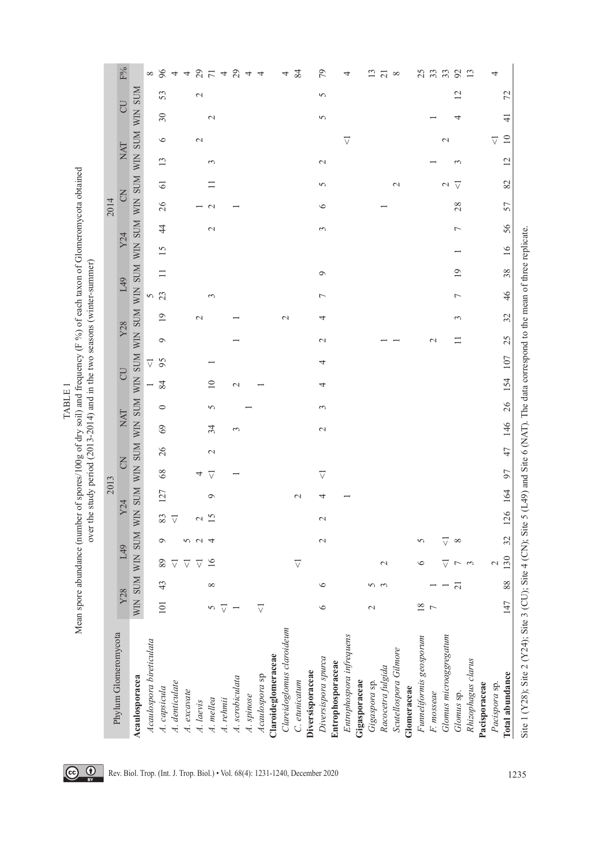|                           | Mean spore abundance (number of spores/100g of dry soil) and frequency $(F%o)$ of each taxon of Glomeromycota obtained |                |                          |                 |                 | over the study period (2013-2014) and in the two seasons (winter-summer) |                 |                 |                 |         |                                     |                      |                 |    |                |    |                             |          |                 |        |                 |                |        |                 |
|---------------------------|------------------------------------------------------------------------------------------------------------------------|----------------|--------------------------|-----------------|-----------------|--------------------------------------------------------------------------|-----------------|-----------------|-----------------|---------|-------------------------------------|----------------------|-----------------|----|----------------|----|-----------------------------|----------|-----------------|--------|-----------------|----------------|--------|-----------------|
|                           |                                                                                                                        |                |                          |                 |                 | 2013                                                                     |                 |                 |                 |         |                                     |                      |                 |    |                |    |                             | 2014     |                 |        |                 |                |        |                 |
| Phylum Glomeromycota      | Y28                                                                                                                    |                | L49                      |                 | Y24             |                                                                          | FO              |                 | NAT             |         | UU                                  |                      | Y28             |    | L49            |    | Y24                         |          | 3               |        | NAT             | <b>CU</b>      |        | $F\%$           |
| Acaulosporacea            | WIN SUM                                                                                                                |                | WIN                      | <b>NINS</b>     |                 | WIN SUM WIN SUM WIN SUM WIN SUM WIN                                      |                 |                 |                 |         |                                     |                      |                 |    |                |    | SUM WIN SUM WIN SUM WIN SUM |          |                 |        |                 | <b>WIN SUM</b> |        |                 |
| Acaulospora bireticulata  |                                                                                                                        |                |                          |                 |                 |                                                                          |                 |                 |                 |         | $\overline{\vee}$<br>$\overline{ }$ |                      |                 | 5  |                |    |                             |          |                 |        |                 |                |        | ${}^{\circ}$    |
| A. capsicula              | 101                                                                                                                    | $\sim$<br>Ą    | 89                       | $\circ$         | 83              | 127                                                                      | 8 <sup>o</sup>  | 26              | 69              | $\circ$ | 84                                  | $\circ$<br>95        | $\overline{19}$ | 23 | $\Box$         | 15 | $\overline{4}$              | $\delta$ | $\overline{6}$  | 13     | $\circ$         | $30\,$         | 53     |                 |
| A. denticulate            |                                                                                                                        |                | $\overline{\vee}$        |                 | $\triangledown$ |                                                                          |                 |                 |                 |         |                                     |                      |                 |    |                |    |                             |          |                 |        |                 |                |        |                 |
| A. excavate               |                                                                                                                        |                | $\overline{\vee}$        | 5               |                 |                                                                          |                 |                 |                 |         |                                     |                      |                 |    |                |    |                             |          |                 |        |                 |                |        |                 |
| A. laevis                 |                                                                                                                        |                | $\overline{\vee}$        | $\sim$          | $\sim$          |                                                                          | 4               |                 |                 |         |                                     |                      | $\mathbf{\sim}$ |    |                |    |                             |          |                 |        | $\sim$          |                | $\sim$ |                 |
| A. mellea                 |                                                                                                                        | $^{\circ}$     | 16                       | 4               | 15              | $\circ$                                                                  | $\triangledown$ | $\mathbf{\sim}$ | 34              | $\sim$  | $\overline{10}$                     |                      |                 | 3  |                |    | $\sim$                      | $\sim$   | $\Box$          | 3      |                 | $\sim$         |        |                 |
| A. rehmii                 | ▽                                                                                                                      |                |                          |                 |                 |                                                                          |                 |                 |                 |         |                                     |                      |                 |    |                |    |                             |          |                 |        |                 |                |        |                 |
| A. scrobiculata           |                                                                                                                        |                |                          |                 |                 |                                                                          |                 |                 | 3               |         | $\mathbf{\sim}$                     |                      |                 |    |                |    |                             |          |                 |        |                 |                |        | 8448748         |
| A. spinose                |                                                                                                                        |                |                          |                 |                 |                                                                          |                 |                 |                 |         |                                     |                      |                 |    |                |    |                             |          |                 |        |                 |                |        | 4               |
| Acaulospora sp            |                                                                                                                        |                |                          |                 |                 |                                                                          |                 |                 |                 |         |                                     |                      |                 |    |                |    |                             |          |                 |        |                 |                |        | $\overline{4}$  |
| Claroideglomeraceae       |                                                                                                                        |                |                          |                 |                 |                                                                          |                 |                 |                 |         |                                     |                      |                 |    |                |    |                             |          |                 |        |                 |                |        |                 |
| Clareidoglomus claroideum |                                                                                                                        |                |                          |                 |                 |                                                                          |                 |                 |                 |         |                                     |                      | $\mathbf{\sim}$ |    |                |    |                             |          |                 |        |                 |                |        | 4               |
| C. etunicatum             |                                                                                                                        |                | $\triangledown$          |                 |                 | $\sim$                                                                   |                 |                 |                 |         |                                     |                      |                 |    |                |    |                             |          |                 |        |                 |                |        | 84              |
| Diversisporaceae          |                                                                                                                        |                |                          |                 |                 |                                                                          |                 |                 |                 |         |                                     |                      |                 |    |                |    |                             |          |                 |        |                 |                |        |                 |
| Diversispora spurca       | $\circ$                                                                                                                |                |                          | $\mathbf{\sim}$ | $\mathbf{\sim}$ | 4                                                                        | $\triangledown$ |                 | $\mathbf{\sim}$ | 3       | 4                                   | $\mathbf{\sim}$<br>4 | 4               | 7  | $\circ$        |    | $\sim$                      | $\circ$  | 5               | $\sim$ |                 | 5              | 5      | 79              |
| Entrophosporaceae         |                                                                                                                        |                |                          |                 |                 |                                                                          |                 |                 |                 |         |                                     |                      |                 |    |                |    |                             |          |                 |        |                 |                |        |                 |
| Entrophospora infrequens  |                                                                                                                        |                |                          |                 |                 |                                                                          |                 |                 |                 |         |                                     |                      |                 |    |                |    |                             |          |                 |        | $\triangledown$ |                |        | 4               |
| Gigasporaceae             |                                                                                                                        |                |                          |                 |                 |                                                                          |                 |                 |                 |         |                                     |                      |                 |    |                |    |                             |          |                 |        |                 |                |        |                 |
| Gigaspora sp.             | $\mathbf{\sim}$                                                                                                        |                |                          |                 |                 |                                                                          |                 |                 |                 |         |                                     |                      |                 |    |                |    |                             |          |                 |        |                 |                |        | $\mathbf{13}$   |
| Racocetra fulgida         |                                                                                                                        |                | $\mathbf{\sim}$          |                 |                 |                                                                          |                 |                 |                 |         |                                     |                      |                 |    |                |    |                             |          |                 |        |                 |                |        | $\overline{21}$ |
| Scutellospora Gilmore     |                                                                                                                        |                |                          |                 |                 |                                                                          |                 |                 |                 |         |                                     |                      |                 |    |                |    |                             |          | $\mathbf{\sim}$ |        |                 |                |        | $\infty$        |
| Glomeraceae               |                                                                                                                        |                |                          |                 |                 |                                                                          |                 |                 |                 |         |                                     |                      |                 |    |                |    |                             |          |                 |        |                 |                |        |                 |
| Funneliformis geosporum   | 18                                                                                                                     |                | $\circ$                  | 5               |                 |                                                                          |                 |                 |                 |         |                                     |                      |                 |    |                |    |                             |          |                 |        |                 |                |        | 25              |
| F. mosseae                |                                                                                                                        |                |                          |                 |                 |                                                                          |                 |                 |                 |         |                                     | $\mathbf{\sim}$      |                 |    |                |    |                             |          |                 |        |                 |                |        | 33              |
| Glomus microaggregatum    |                                                                                                                        |                | ▽                        | ▽               |                 |                                                                          |                 |                 |                 |         |                                     |                      |                 |    |                |    |                             |          | $\mathbf{\sim}$ |        | $\sim$          |                |        | 33              |
| Glomus sp.                |                                                                                                                        | $\overline{c}$ | $\overline{\phantom{a}}$ | $\infty$        |                 |                                                                          |                 |                 |                 |         |                                     | $\Box$               | 3               | 7  | $\overline{0}$ |    | $\overline{ }$              | 28       | $\triangledown$ | $\sim$ |                 | 4              | 12     | 92              |
| Rhizophagus clarus        |                                                                                                                        |                | $\epsilon$               |                 |                 |                                                                          |                 |                 |                 |         |                                     |                      |                 |    |                |    |                             |          |                 |        |                 |                |        | 13              |
| Pacisporaceae             |                                                                                                                        |                |                          |                 |                 |                                                                          |                 |                 |                 |         |                                     |                      |                 |    |                |    |                             |          |                 |        |                 |                |        |                 |
| Pacispora sp              |                                                                                                                        |                | $\mathcal{L}$            |                 |                 |                                                                          |                 |                 |                 |         |                                     |                      |                 |    |                |    |                             |          |                 |        | $\triangledown$ |                |        | 4               |
| Total abundance           | 147                                                                                                                    | 88             | 130                      | 32              | 126 164         |                                                                          | 97              | 47              | 146             | 26      | 154                                 | 25<br>107            | 32              | 46 | 38             | 16 | 56                          | 57       | 82              | 12     | $\Box$          | $\frac{1}{4}$  | 72     |                 |

Site 1 (Y28); Site 2 (Y24); Site 3 (CU); Site 4 (CN); Site 5 (L49) and Site 6 (NAT). The data correspond to the mean of three replicate. Site 1 (Y28); Site 2 (Y24); Site 3 (CU); Site 4 (CN); Site 5 (L49) and Site 6 (NAT). The data correspond to the mean of three replicate.



TABLE 1 Mean spore abundance (number of spores/100g of dry soil) and frequency (F %) of each taxon of Glomeromycota obtained

TABLE 1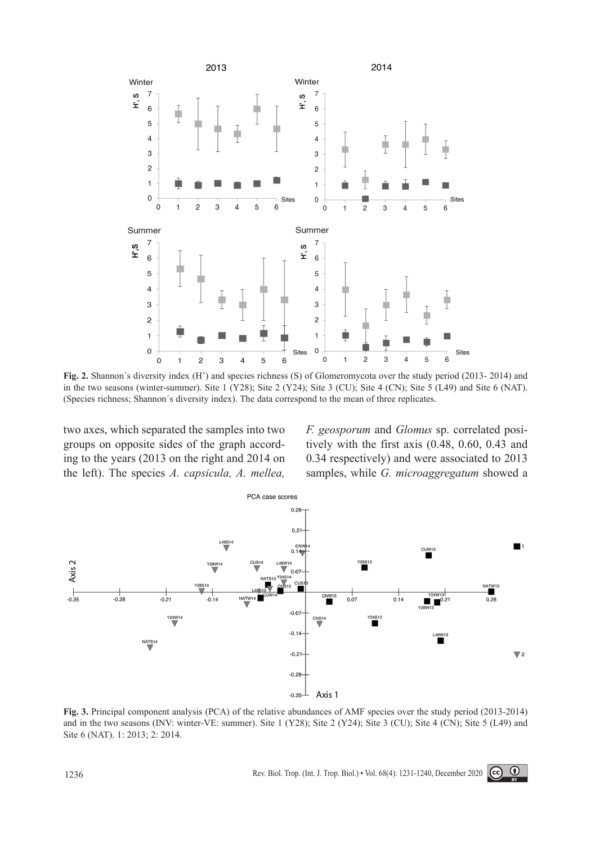

**Fig. 2.** Shannon´s diversity index (H') and species richness (S) of Glomeromycota over the study period (2013- 2014) and in the two seasons (winter-summer). Site 1 (Y28); Site 2 (Y24); Site 3 (CU); Site 4 (CN); Site 5 (L49) and Site 6 (NAT). (Species richness; Shannon´s diversity index). The data correspond to the mean of three replicates.

two axes, which separated the samples into two groups on opposite sides of the graph according to the years (2013 on the right and 2014 on the left). The species *A. capsicula, A. mellea,*  *F. geosporum* and *Glomus* sp. correlated positively with the first axis (0.48, 0.60, 0.43 and 0.34 respectively) and were associated to 2013 samples, while *G. microaggregatum* showed a



**Fig. 3.** Principal component analysis (PCA) of the relative abundances of AMF species over the study period (2013-2014) and in the two seasons (INV: winter-VE: summer). Site 1 (Y28); Site 2 (Y24); Site 3 (CU); Site 4 (CN); Site 5 (L49) and Site 6 (NAT). 1: 2013; 2: 2014.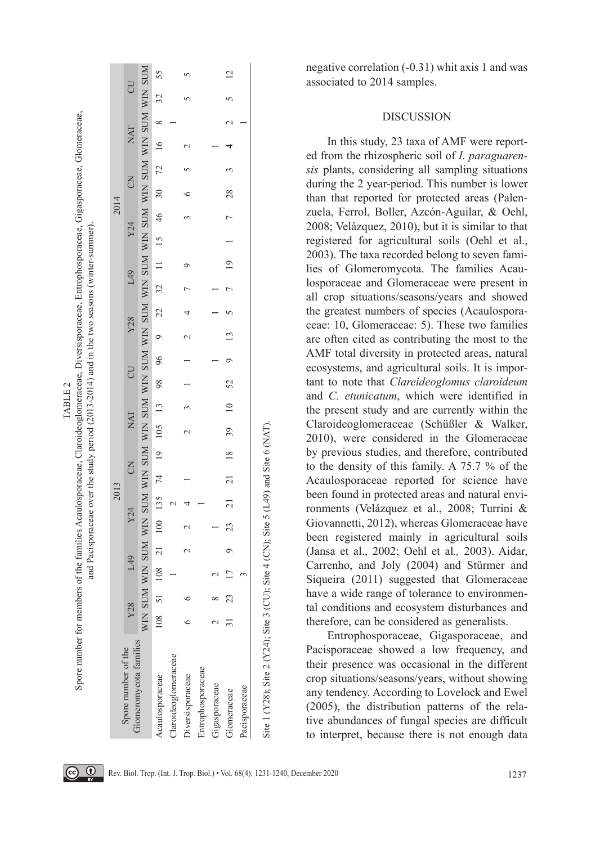|                            |                |    |    |         |     | 2013                 |   |        |  |                  |                |                |         |             | 2014        |                                                                     |     |                 |
|----------------------------|----------------|----|----|---------|-----|----------------------|---|--------|--|------------------|----------------|----------------|---------|-------------|-------------|---------------------------------------------------------------------|-----|-----------------|
| Spore number of the        | Y28            |    |    | 149     | Y24 |                      | E |        |  | NAT CU $Y28$ L49 |                |                |         | Y24         |             | $\mathsf{S}$                                                        | NAT |                 |
| Glomeromycota families     | <b>NIN SUM</b> |    |    |         |     |                      |   |        |  |                  |                |                |         |             |             |                                                                     |     |                 |
| Acaulosporaceae            | 108            |    |    |         |     |                      |   |        |  |                  |                |                |         |             |             | 108 21 100 135 74 19 105 13 98 96 9 22 32 11 13 46 30 72 16 8 32 55 |     |                 |
| <b>Iaroideoglomeraceae</b> |                |    |    |         |     |                      |   |        |  |                  |                |                |         |             |             |                                                                     |     |                 |
| Diversisporaceae           |                |    |    |         |     |                      |   | $\sim$ |  | $-3$ 1 1 2 4     |                | $\overline{a}$ | $\circ$ |             | $3 \quad 6$ |                                                                     |     | $\varsigma$     |
| Entrophosporaceae          |                |    |    |         |     |                      |   |        |  |                  |                |                |         |             |             |                                                                     |     |                 |
| Gigasporaceae              |                |    |    |         |     |                      |   |        |  |                  |                |                |         |             |             |                                                                     |     |                 |
| Glomeraceae                |                | 23 | 17 | $\circ$ |     | 23 21 21 18 39 10 52 |   |        |  | $\overline{9}$   | $\frac{13}{2}$ |                |         | 7 19 1 7 28 |             |                                                                     |     | $\overline{12}$ |
| Pacisporaceae              |                |    |    |         |     |                      |   |        |  |                  |                |                |         |             |             |                                                                     |     |                 |

Site 1 (Y28); Site 2 (Y24); Site 3 (CU); Site 4 (CN); Site 5 (L49) and Site 6 (NAT).Site 1 (Y28); Site 2 (Y24); Site 3 (CU); Site 4 (CN); Site 5 (L49) and Site 6 (NAI negative correlation (-0.31) whit axis 1 and was associated to 2014 samples.

## DISCUSSION

In this study, 23 taxa of AMF were report ed from the rhizospheric soil of *I. paraguaren sis* plants, considering all sampling situations during the 2 year-period. This number is lower than that reported for protected areas (Palen zuela, Ferrol, Boller, Azcón-Aguilar, & Oehl, 2008; Velázquez, 2010), but it is similar to that registered for agricultural soils (Oehl et al., 2003). The taxa recorded belong to seven fami lies of Glomeromycota. The families Acau losporaceae and Glomeraceae were present in all crop situations/seasons/years and showed the greatest numbers of species (Acaulospora ceae: 10, Glomeraceae: 5). These two families are often cited as contributing the most to the AMF total diversity in protected areas, natural ecosystems, and agricultural soils. It is impor tant to note that *Clareideoglomus claroideum* and *C. etunicatum*, which were identified in the present study and are currently within the Claroideoglomeraceae (Schüßler & Walker, 2010), were considered in the Glomeraceae by previous studies, and therefore, contributed to the density of this family. A 75.7 % of the Acaulosporaceae reported for science have been found in protected areas and natural envi ronments (Velázquez et al., 2008; Turrini & Giovannetti, 2012), whereas Glomeraceae have been registered mainly in agricultural soils (Jansa et al., 2002; Oehl et al*.,* 2003). Aidar, Carrenho, and Joly (2004) and Stürmer and Siqueira (2011) suggested that Glomeraceae have a wide range of tolerance to environmental conditions and ecosystem disturbances and therefore, can be considered as generalists.

Entrophosporaceae, Gigasporaceae, and Pacisporaceae showed a low frequency, and their presence was occasional in the different crop situations/seasons/years, without showing any tendency. According to Lovelock and Ewel (2005), the distribution patterns of the rela tive abundances of fungal species are difficult to interpret, because there is not enough data

TABLE 2 Spore number for members of the families Acaulosporaceae, Claroideoglomeraceae, Diversisporaceae, Entrophosporaceae, Gigasporaceae, Glomeraceae,

Spore number for members of the families Acaulosporaceae, Claroideoglomeraceae, Diversisporaceae, Entrophosporaceae, Gigasporaceae, Glomeraceae TABLE<sub>2</sub>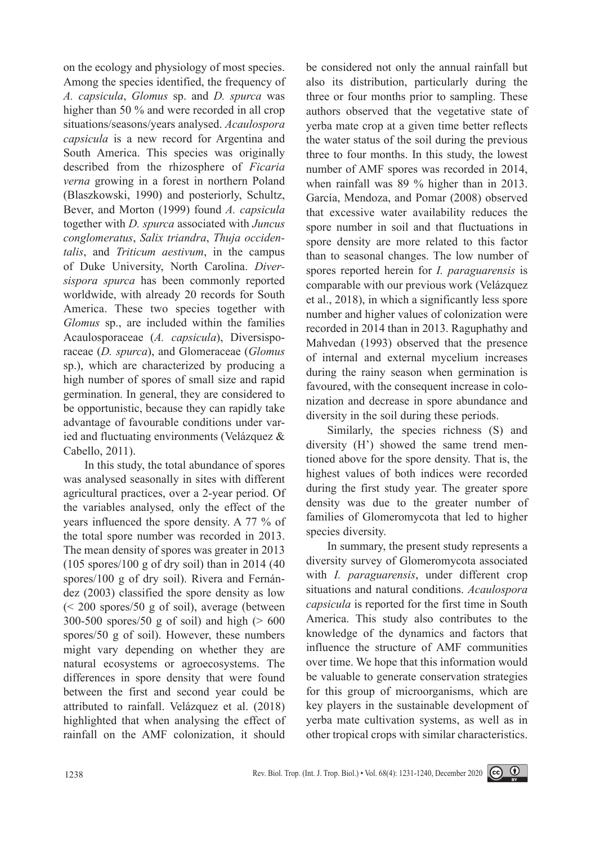on the ecology and physiology of most species. Among the species identified, the frequency of *A. capsicula*, *Glomus* sp. and *D. spurca* was higher than 50 % and were recorded in all crop situations/seasons/years analysed. *Acaulospora capsicula* is a new record for Argentina and South America. This species was originally described from the rhizosphere of *Ficaria verna* growing in a forest in northern Poland (Blaszkowski, 1990) and posteriorly, Schultz, Bever, and Morton (1999) found *A. capsicula* together with *D. spurca* associated with *Juncus conglomeratus*, *Salix triandra*, *Thuja occidentalis*, and *Triticum aestivum*, in the campus of Duke University, North Carolina. *Diversispora spurca* has been commonly reported worldwide, with already 20 records for South America. These two species together with *Glomus* sp., are included within the families Acaulosporaceae (*A. capsicula*), Diversisporaceae (*D. spurca*), and Glomeraceae (*Glomus* sp.), which are characterized by producing a high number of spores of small size and rapid germination. In general, they are considered to be opportunistic, because they can rapidly take advantage of favourable conditions under varied and fluctuating environments (Velázquez & Cabello, 2011).

In this study, the total abundance of spores was analysed seasonally in sites with different agricultural practices, over a 2-year period. Of the variables analysed, only the effect of the years influenced the spore density. A 77 % of the total spore number was recorded in 2013. The mean density of spores was greater in 2013  $(105$  spores/100 g of dry soil) than in 2014 (40) spores/100 g of dry soil). Rivera and Fernández (2003) classified the spore density as low (< 200 spores/50 g of soil), average (between 300-500 spores/50 g of soil) and high  $(>600$ spores/50 g of soil). However, these numbers might vary depending on whether they are natural ecosystems or agroecosystems. The differences in spore density that were found between the first and second year could be attributed to rainfall. Velázquez et al. (2018) highlighted that when analysing the effect of rainfall on the AMF colonization, it should be considered not only the annual rainfall but also its distribution, particularly during the three or four months prior to sampling. These authors observed that the vegetative state of yerba mate crop at a given time better reflects the water status of the soil during the previous three to four months. In this study, the lowest number of AMF spores was recorded in 2014, when rainfall was 89 % higher than in 2013. García, Mendoza, and Pomar (2008) observed that excessive water availability reduces the spore number in soil and that fluctuations in spore density are more related to this factor than to seasonal changes. The low number of spores reported herein for *I. paraguarensis* is comparable with our previous work (Velázquez et al., 2018), in which a significantly less spore number and higher values of colonization were recorded in 2014 than in 2013. Raguphathy and Mahvedan (1993) observed that the presence of internal and external mycelium increases during the rainy season when germination is favoured, with the consequent increase in colonization and decrease in spore abundance and diversity in the soil during these periods.

Similarly, the species richness (S) and diversity (H') showed the same trend mentioned above for the spore density. That is, the highest values of both indices were recorded during the first study year. The greater spore density was due to the greater number of families of Glomeromycota that led to higher species diversity.

In summary, the present study represents a diversity survey of Glomeromycota associated with *I. paraguarensis*, under different crop situations and natural conditions. *Acaulospora capsicula* is reported for the first time in South America. This study also contributes to the knowledge of the dynamics and factors that influence the structure of AMF communities over time. We hope that this information would be valuable to generate conservation strategies for this group of microorganisms, which are key players in the sustainable development of yerba mate cultivation systems, as well as in other tropical crops with similar characteristics.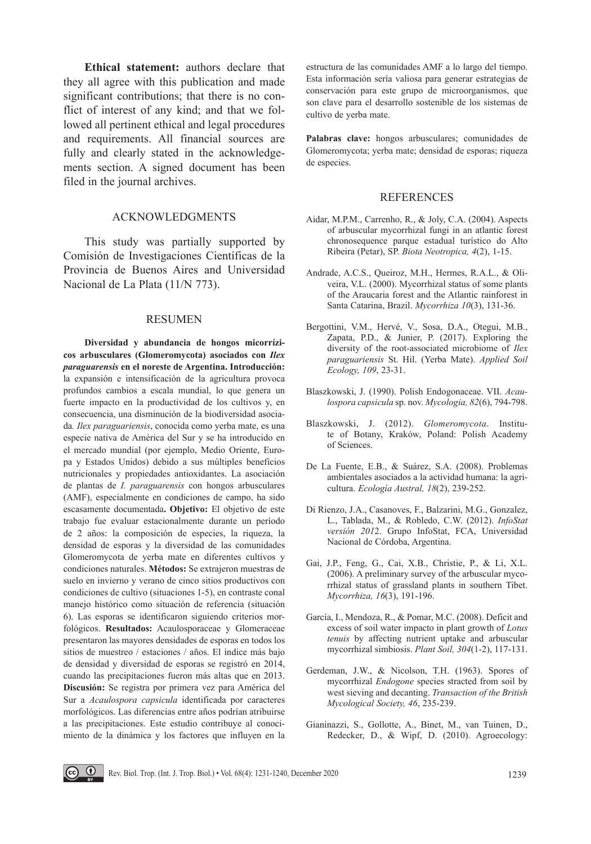**Ethical statement:** authors declare that they all agree with this publication and made significant contributions; that there is no conflict of interest of any kind; and that we followed all pertinent ethical and legal procedures and requirements. All financial sources are fully and clearly stated in the acknowledgements section. A signed document has been filed in the journal archives.

### ACKNOWLEDGMENTS

This study was partially supported by Comisión de Investigaciones Científicas de la Provincia de Buenos Aires and Universidad Nacional de La Plata (11/N 773).

#### RESUMEN

**Diversidad y abundancia de hongos micorrízicos arbusculares (Glomeromycota) asociados con** *Ilex paraguarensis* **en el noreste de Argentina. Introducción:** la expansión e intensificación de la agricultura provoca profundos cambios a escala mundial, lo que genera un fuerte impacto en la productividad de los cultivos y, en consecuencia, una disminución de la biodiversidad asociada*. Ilex paraguariensis*, conocida como yerba mate, es una especie nativa de América del Sur y se ha introducido en el mercado mundial (por ejemplo, Medio Oriente, Europa y Estados Unidos) debido a sus múltiples beneficios nutricionales y propiedades antioxidantes. La asociación de plantas de *I. paraguarensis* con hongos arbusculares (AMF), especialmente en condiciones de campo, ha sido escasamente documentada**. Objetivo:** El objetivo de este trabajo fue evaluar estacionalmente durante un período de 2 años: la composición de especies, la riqueza, la densidad de esporas y la diversidad de las comunidades Glomeromycota de yerba mate en diferentes cultivos y condiciones naturales. **Métodos:** Se extrajeron muestras de suelo en invierno y verano de cinco sitios productivos con condiciones de cultivo (situaciones 1-5), en contraste conal manejo histórico como situación de referencia (situación 6). Las esporas se identificaron siguiendo criterios morfológicos. **Resultados:** Acaulosporaceae y Glomeraceae presentaron las mayores densidades de esporas en todos los sitios de muestreo / estaciones / años. El índice más bajo de densidad y diversidad de esporas se registró en 2014, cuando las precipitaciones fueron más altas que en 2013. **Discusión:** Se registra por primera vez para América del Sur a *Acaulospora capsicula* identificada por caracteres morfológicos. Las diferencias entre años podrían atribuirse a las precipitaciones. Este estudio contribuye al conocimiento de la dinámica y los factores que influyen en la

estructura de las comunidades AMF a lo largo del tiempo. Esta información sería valiosa para generar estrategias de conservación para este grupo de microorganismos, que son clave para el desarrollo sostenible de los sistemas de cultivo de yerba mate.

**Palabras clave:** hongos arbusculares; comunidades de Glomeromycota; yerba mate; densidad de esporas; riqueza de especies.

#### REFERENCES

- Aidar, M.P.M., Carrenho, R., & Joly, C.A. (2004). Aspects of arbuscular mycorrhizal fungi in an atlantic forest chronosequence parque estadual turístico do Alto Ribeira (Petar), SP. *Biota Neotropica, 4*(2), 1-15.
- Andrade, A.C.S., Queiroz, M.H., Hermes, R.A.L., & Oliveira, V.L. (2000). Mycorrhizal status of some plants of the Araucaria forest and the Atlantic rainforest in Santa Catarina, Brazil. *Mycorrhiza 10*(3), 131-36.
- Bergottini, V.M., Hervé, V., Sosa, D.A., Otegui, M.B., Zapata, P.D., & Junier, P. (2017). Exploring the diversity of the root-associated microbiome of *Ilex paraguariensis* St. Hil. (Yerba Mate). *Applied Soil Ecology, 109*, 23-31.
- Blaszkowski, J. (1990). Polish Endogonaceae. VII. *Acaulospora capsicula* sp. nov. *Mycologia, 82*(6), 794-798.
- Blaszkowski, J. (2012). *Glomeromycota*. Institute of Botany, Kraków, Poland: Polish Academy of Sciences.
- De La Fuente, E.B., & Suárez, S.A. (2008). Problemas ambientales asociados a la actividad humana: la agricultura. *Ecología Austral, 18*(2), 239-252.
- Di Rienzo, J.A., Casanoves, F., Balzarini, M.G., Gonzalez, L., Tablada, M., & Robledo, C.W. (2012). *InfoStat versión 201*2. Grupo InfoStat, FCA, Universidad Nacional de Córdoba, Argentina.
- Gai, J.P., Feng, G., Cai, X.B., Christie, P., & Li, X.L. (2006). A preliminary survey of the arbuscular mycorrhizal status of grassland plants in southern Tibet. *Mycorrhiza, 16*(3), 191-196.
- García, I., Mendoza, R., & Pomar, M.C. (2008). Deficit and excess of soil water impacto in plant growth of *Lotus tenuis* by affecting nutrient uptake and arbuscular mycorrhizal simbiosis. *Plant Soil, 304*(1-2), 117-131.
- Gerdeman, J.W., & Nicolson, T.H. (1963). Spores of mycorrhizal *Endogone* species stracted from soil by west sieving and decanting. *Transaction of the British Mycological Society, 46*, 235-239.
- Gianinazzi, S., Gollotte, A., Binet, M., van Tuinen, D., Redecker, D., & Wipf, D. (2010). Agroecology:

Rev. Biol. Trop. (Int. J. Trop. Biol.) • Vol. 68(4): 1231-1240, December 2020 1239